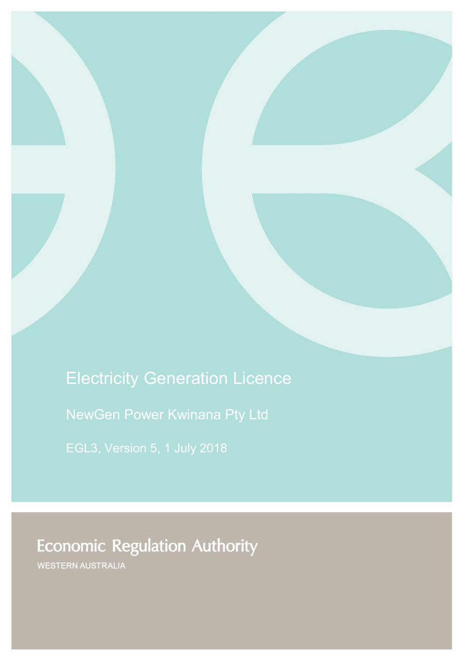# Electricity Generation Licence

NewGen Power Kwinana Pty Ltd

**Economic Regulation Authority** 

WESTERN AUSTRALIA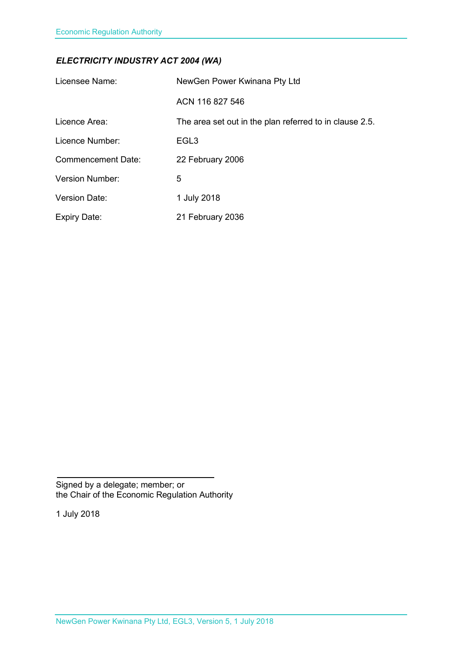### *ELECTRICITY INDUSTRY ACT 2004 (WA)*

| Licensee Name:            | NewGen Power Kwinana Pty Ltd                            |
|---------------------------|---------------------------------------------------------|
|                           | ACN 116 827 546                                         |
| Licence Area:             | The area set out in the plan referred to in clause 2.5. |
| Licence Number:           | EGL <sub>3</sub>                                        |
| <b>Commencement Date:</b> | 22 February 2006                                        |
| <b>Version Number:</b>    | 5                                                       |
| <b>Version Date:</b>      | 1 July 2018                                             |
| <b>Expiry Date:</b>       | 21 February 2036                                        |

Signed by a delegate; member; or the Chair of the Economic Regulation Authority

1 July 2018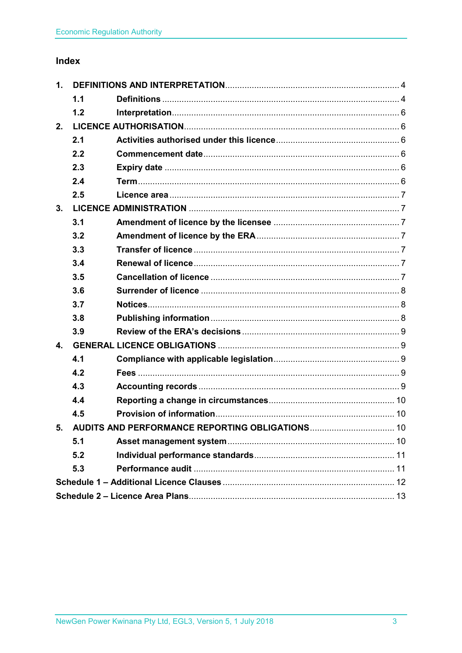### Index

| 1.                                                 |     |  |  |
|----------------------------------------------------|-----|--|--|
|                                                    | 1.1 |  |  |
|                                                    | 1.2 |  |  |
| 2.                                                 |     |  |  |
|                                                    | 2.1 |  |  |
|                                                    | 2.2 |  |  |
|                                                    | 2.3 |  |  |
|                                                    | 2.4 |  |  |
|                                                    | 2.5 |  |  |
| 3.                                                 |     |  |  |
|                                                    | 3.1 |  |  |
|                                                    | 3.2 |  |  |
|                                                    | 3.3 |  |  |
|                                                    | 3.4 |  |  |
|                                                    | 3.5 |  |  |
|                                                    | 3.6 |  |  |
|                                                    | 3.7 |  |  |
|                                                    | 3.8 |  |  |
|                                                    | 3.9 |  |  |
| $\mathbf{4}$ .                                     |     |  |  |
|                                                    | 4.1 |  |  |
|                                                    | 4.2 |  |  |
|                                                    | 4.3 |  |  |
|                                                    | 4.4 |  |  |
|                                                    | 4.5 |  |  |
| 5. AUDITS AND PERFORMANCE REPORTING OBLIGATIONS 10 |     |  |  |
|                                                    | 5.1 |  |  |
|                                                    | 5.2 |  |  |
|                                                    | 5.3 |  |  |
|                                                    |     |  |  |
|                                                    |     |  |  |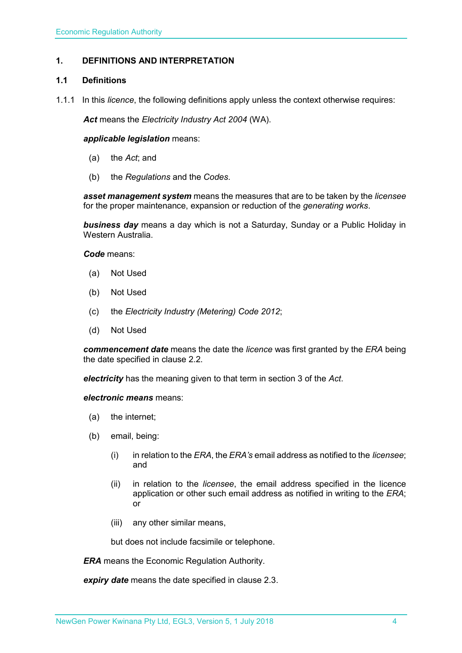#### <span id="page-3-0"></span>**1. DEFINITIONS AND INTERPRETATION**

#### <span id="page-3-1"></span>**1.1 Definitions**

1.1.1 In this *licence*, the following definitions apply unless the context otherwise requires:

*Act* means the *Electricity Industry Act 2004* (WA).

#### *applicable legislation* means:

- (a) the *Act*; and
- (b) the *Regulations* and the *Codes*.

*asset management system* means the measures that are to be taken by the *licensee* for the proper maintenance, expansion or reduction of the *generating works*.

*business day* means a day which is not a Saturday, Sunday or a Public Holiday in Western Australia.

*Code* means:

- (a) Not Used
- (b) Not Used
- (c) the *Electricity Industry (Metering) Code 2012*;
- (d) Not Used

*commencement date* means the date the *licence* was first granted by the *ERA* being the date specified in clause 2.2.

*electricity* has the meaning given to that term in section 3 of the *Act*.

*electronic means* means:

- (a) the internet;
- (b) email, being:
	- (i) in relation to the *ERA*, the *ERA's* email address as notified to the *licensee*; and
	- (ii) in relation to the *licensee*, the email address specified in the licence application or other such email address as notified in writing to the *ERA*; or
	- (iii) any other similar means,

but does not include facsimile or telephone.

*ERA* means the Economic Regulation Authority.

*expiry date* means the date specified in clause 2.3.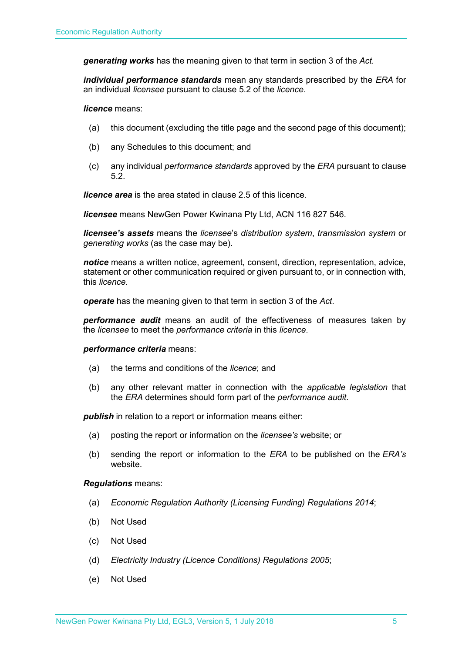*generating works* has the meaning given to that term in section 3 of the *Act.*

*individual performance standards* mean any standards prescribed by the *ERA* for an individual *licensee* pursuant to clause 5.2 of the *licence*.

*licence* means:

- (a) this document (excluding the title page and the second page of this document);
- (b) any Schedules to this document; and
- (c) any individual *performance standards* approved by the *ERA* pursuant to clause 5.2.

*licence area* is the area stated in clause 2.5 of this licence.

*licensee* means NewGen Power Kwinana Pty Ltd, ACN 116 827 546.

*licensee's assets* means the *licensee*'s *distribution system*, *transmission system* or *generating works* (as the case may be).

*notice* means a written notice, agreement, consent, direction, representation, advice, statement or other communication required or given pursuant to, or in connection with, this *licence*.

*operate* has the meaning given to that term in section 3 of the *Act*.

*performance audit* means an audit of the effectiveness of measures taken by the *licensee* to meet the *performance criteria* in this *licence*.

#### *performance criteria* means:

- (a) the terms and conditions of the *licence*; and
- (b) any other relevant matter in connection with the *applicable legislation* that the *ERA* determines should form part of the *performance audit*.

**publish** in relation to a report or information means either:

- (a) posting the report or information on the *licensee's* website; or
- (b) sending the report or information to the *ERA* to be published on the *ERA's* website.

#### *Regulations* means:

- (a) *Economic Regulation Authority (Licensing Funding) Regulations 2014*;
- (b) Not Used
- (c) Not Used
- (d) *Electricity Industry (Licence Conditions) Regulations 2005*;
- (e) Not Used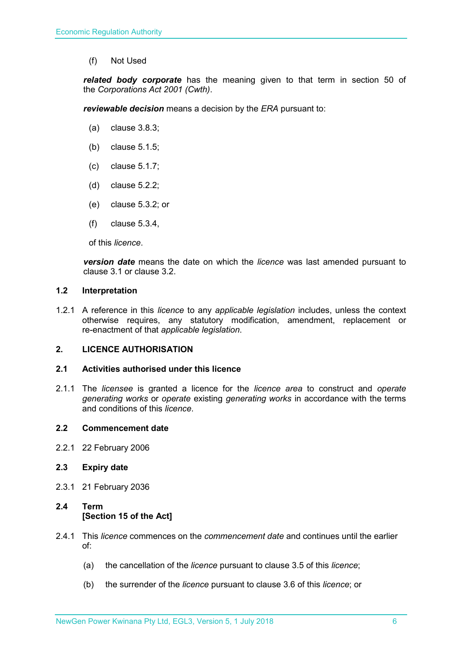(f) Not Used

*related body corporate* has the meaning given to that term in section 50 of the *Corporations Act 2001 (Cwth)*.

*reviewable decision* means a decision by the *ERA* pursuant to:

- (a) clause 3.8.3;
- (b) clause 5.1.5;
- (c) clause 5.1.7;
- (d) clause 5.2.2;
- (e) clause 5.3.2; or
- (f) clause 5.3.4,

of this *licence*.

*version date* means the date on which the *licence* was last amended pursuant to clause 3.1 or clause 3.2.

#### <span id="page-5-0"></span>**1.2 Interpretation**

1.2.1 A reference in this *licence* to any *applicable legislation* includes, unless the context otherwise requires, any statutory modification, amendment, replacement or re-enactment of that *applicable legislation*.

#### <span id="page-5-1"></span>**2. LICENCE AUTHORISATION**

#### <span id="page-5-2"></span>**2.1 Activities authorised under this licence**

2.1.1 The *licensee* is granted a licence for the *licence area* to construct and *operate generating works* or *operate* existing *generating works* in accordance with the terms and conditions of this *licence*.

#### <span id="page-5-3"></span>**2.2 Commencement date**

2.2.1 22 February 2006

#### <span id="page-5-4"></span>**2.3 Expiry date**

2.3.1 21 February 2036

### <span id="page-5-5"></span>**2.4 Term [Section 15 of the Act]**

- 2.4.1 This *licence* commences on the *commencement date* and continues until the earlier of:
	- (a) the cancellation of the *licence* pursuant to clause 3.5 of this *licence*;
	- (b) the surrender of the *licence* pursuant to clause 3.6 of this *licence*; or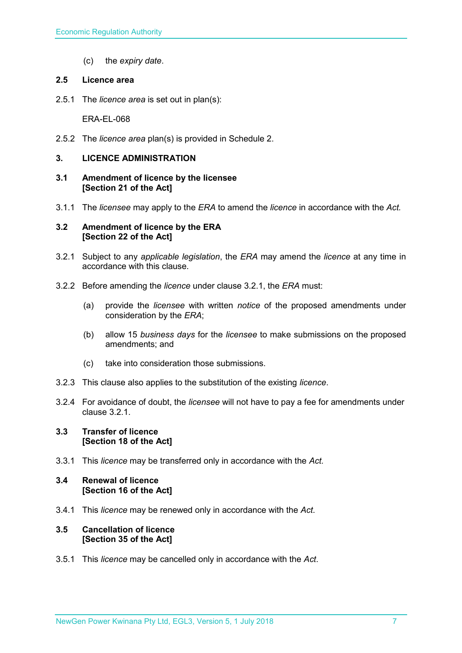(c) the *expiry date*.

#### <span id="page-6-0"></span>**2.5 Licence area**

2.5.1 The *licence area* is set out in plan(s):

ERA-EL-068

2.5.2 The *licence area* plan(s) is provided in Schedule 2.

#### <span id="page-6-1"></span>**3. LICENCE ADMINISTRATION**

- <span id="page-6-2"></span>**3.1 Amendment of licence by the licensee [Section 21 of the Act]**
- 3.1.1 The *licensee* may apply to the *ERA* to amend the *licence* in accordance with the *Act.*

#### <span id="page-6-3"></span>**3.2 Amendment of licence by the ERA [Section 22 of the Act]**

- 3.2.1 Subject to any *applicable legislation*, the *ERA* may amend the *licence* at any time in accordance with this clause.
- 3.2.2 Before amending the *licence* under clause 3.2.1, the *ERA* must:
	- (a) provide the *licensee* with written *notice* of the proposed amendments under consideration by the *ERA*;
	- (b) allow 15 *business days* for the *licensee* to make submissions on the proposed amendments; and
	- (c) take into consideration those submissions.
- 3.2.3 This clause also applies to the substitution of the existing *licence*.
- 3.2.4 For avoidance of doubt, the *licensee* will not have to pay a fee for amendments under clause 3.2.1.

#### <span id="page-6-4"></span>**3.3 Transfer of licence [Section 18 of the Act]**

3.3.1 This *licence* may be transferred only in accordance with the *Act.*

#### <span id="page-6-5"></span>**3.4 Renewal of licence [Section 16 of the Act]**

3.4.1 This *licence* may be renewed only in accordance with the *Act*.

#### <span id="page-6-6"></span>**3.5 Cancellation of licence [Section 35 of the Act]**

3.5.1 This *licence* may be cancelled only in accordance with the *Act*.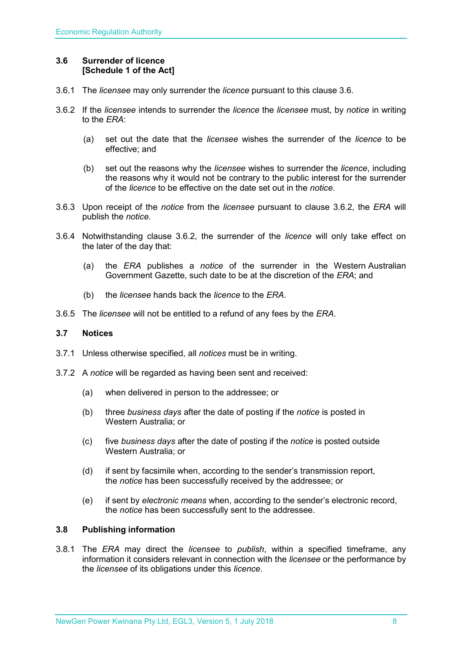#### <span id="page-7-0"></span>**3.6 Surrender of licence [Schedule 1 of the Act]**

- 3.6.1 The *licensee* may only surrender the *licence* pursuant to this clause 3.6.
- 3.6.2 If the *licensee* intends to surrender the *licence* the *licensee* must, by *notice* in writing to the *ERA*:
	- (a) set out the date that the *licensee* wishes the surrender of the *licence* to be effective; and
	- (b) set out the reasons why the *licensee* wishes to surrender the *licence*, including the reasons why it would not be contrary to the public interest for the surrender of the *licence* to be effective on the date set out in the *notice*.
- 3.6.3 Upon receipt of the *notice* from the *licensee* pursuant to clause 3.6.2, the *ERA* will publish the *notice*.
- 3.6.4 Notwithstanding clause 3.6.2, the surrender of the *licence* will only take effect on the later of the day that:
	- (a) the *ERA* publishes a *notice* of the surrender in the Western Australian Government Gazette, such date to be at the discretion of the *ERA*; and
	- (b) the *licensee* hands back the *licence* to the *ERA*.
- 3.6.5 The *licensee* will not be entitled to a refund of any fees by the *ERA*.

#### <span id="page-7-1"></span>**3.7 Notices**

- 3.7.1 Unless otherwise specified, all *notices* must be in writing.
- 3.7.2 A *notice* will be regarded as having been sent and received:
	- (a) when delivered in person to the addressee; or
	- (b) three *business days* after the date of posting if the *notice* is posted in Western Australia; or
	- (c) five *business days* after the date of posting if the *notice* is posted outside Western Australia; or
	- (d) if sent by facsimile when, according to the sender's transmission report, the *notice* has been successfully received by the addressee; or
	- (e) if sent by *electronic means* when, according to the sender's electronic record, the *notice* has been successfully sent to the addressee.

#### <span id="page-7-2"></span>**3.8 Publishing information**

3.8.1 The *ERA* may direct the *licensee* to *publish*, within a specified timeframe, any information it considers relevant in connection with the *licensee* or the performance by the *licensee* of its obligations under this *licence*.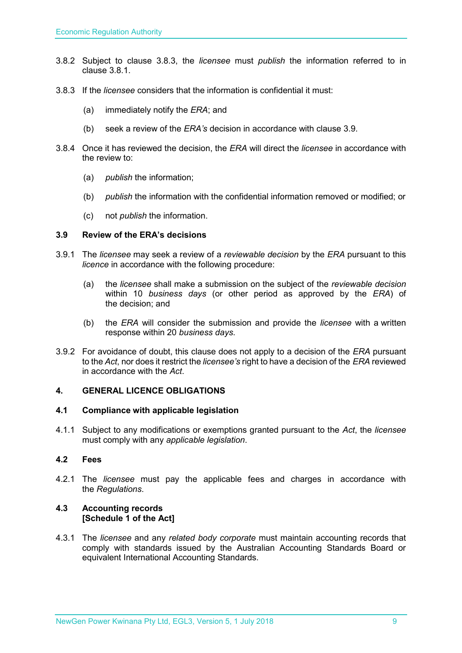- 3.8.2 Subject to clause 3.8.3, the *licensee* must *publish* the information referred to in clause 3.8.1.
- 3.8.3 If the *licensee* considers that the information is confidential it must:
	- (a) immediately notify the *ERA*; and
	- (b) seek a review of the *ERA's* decision in accordance with clause 3.9.
- 3.8.4 Once it has reviewed the decision, the *ERA* will direct the *licensee* in accordance with the review to:
	- (a) *publish* the information;
	- (b) *publish* the information with the confidential information removed or modified; or
	- (c) not *publish* the information.

#### <span id="page-8-0"></span>**3.9 Review of the ERA's decisions**

- 3.9.1 The *licensee* may seek a review of a *reviewable decision* by the *ERA* pursuant to this *licence* in accordance with the following procedure:
	- (a) the *licensee* shall make a submission on the subject of the *reviewable decision* within 10 *business days* (or other period as approved by the *ERA*) of the decision; and
	- (b) the *ERA* will consider the submission and provide the *licensee* with a written response within 20 *business days*.
- 3.9.2 For avoidance of doubt, this clause does not apply to a decision of the *ERA* pursuant to the *Act*, nor does it restrict the *licensee's* right to have a decision of the *ERA* reviewed in accordance with the *Act*.

#### <span id="page-8-1"></span>**4. GENERAL LICENCE OBLIGATIONS**

#### <span id="page-8-2"></span>**4.1 Compliance with applicable legislation**

4.1.1 Subject to any modifications or exemptions granted pursuant to the *Act*, the *licensee* must comply with any *applicable legislation*.

#### <span id="page-8-3"></span>**4.2 Fees**

4.2.1 The *licensee* must pay the applicable fees and charges in accordance with the *Regulations*.

#### <span id="page-8-4"></span>**4.3 Accounting records [Schedule 1 of the Act]**

4.3.1 The *licensee* and any *related body corporate* must maintain accounting records that comply with standards issued by the Australian Accounting Standards Board or equivalent International Accounting Standards.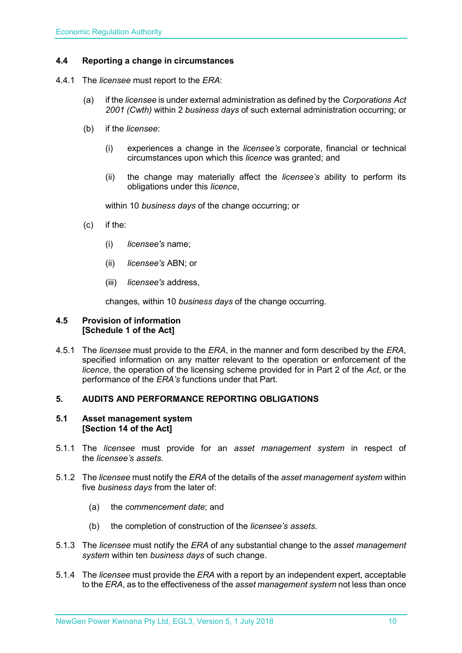#### <span id="page-9-0"></span>**4.4 Reporting a change in circumstances**

- 4.4.1 The *licensee* must report to the *ERA*:
	- (a) if the *licensee* is under external administration as defined by the *Corporations Act 2001 (Cwth)* within 2 *business days* of such external administration occurring; or
	- (b) if the *licensee*:
		- (i) experiences a change in the *licensee's* corporate, financial or technical circumstances upon which this *licence* was granted; and
		- (ii) the change may materially affect the *licensee's* ability to perform its obligations under this *licence*,

within 10 *business days* of the change occurring; or

- (c) if the:
	- (i) *licensee's* name;
	- (ii) *licensee's* ABN; or
	- (iii) *licensee's* address,

changes, within 10 *business days* of the change occurring.

#### <span id="page-9-1"></span>**4.5 Provision of information [Schedule 1 of the Act]**

4.5.1 The *licensee* must provide to the *ERA*, in the manner and form described by the *ERA*, specified information on any matter relevant to the operation or enforcement of the *licence*, the operation of the licensing scheme provided for in Part 2 of the *Act*, or the performance of the *ERA's* functions under that Part.

#### <span id="page-9-2"></span>**5. AUDITS AND PERFORMANCE REPORTING OBLIGATIONS**

#### <span id="page-9-3"></span>**5.1 Asset management system [Section 14 of the Act]**

- 5.1.1 The *licensee* must provide for an *asset management system* in respect of the *licensee's assets*.
- 5.1.2 The *licensee* must notify the *ERA* of the details of the *asset management system* within five *business days* from the later of:
	- (a) the *commencement date*; and
	- (b) the completion of construction of the *licensee's assets*.
- 5.1.3 The *licensee* must notify the *ERA* of any substantial change to the *asset management system* within ten *business days* of such change.
- 5.1.4 The *licensee* must provide the *ERA* with a report by an independent expert, acceptable to the *ERA*, as to the effectiveness of the *asset management system* not less than once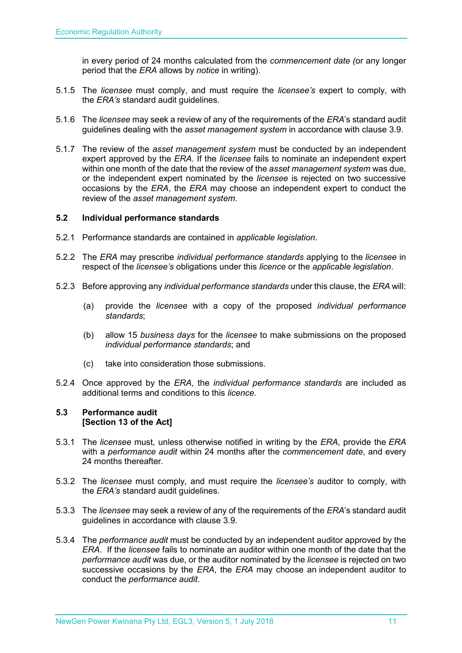in every period of 24 months calculated from the *commencement date (*or any longer period that the *ERA* allows by *notice* in writing).

- 5.1.5 The *licensee* must comply, and must require the *licensee's* expert to comply, with the *ERA's* standard audit guidelines.
- 5.1.6 The *licensee* may seek a review of any of the requirements of the *ERA*'s standard audit guidelines dealing with the *asset management system* in accordance with clause 3.9.
- 5.1.7 The review of the *asset management system* must be conducted by an independent expert approved by the *ERA*. If the *licensee* fails to nominate an independent expert within one month of the date that the review of the *asset management system* was due, or the independent expert nominated by the *licensee* is rejected on two successive occasions by the *ERA*, the *ERA* may choose an independent expert to conduct the review of the *asset management system*.

#### <span id="page-10-0"></span>**5.2 Individual performance standards**

- 5.2.1 Performance standards are contained in *applicable legislation*.
- 5.2.2 The *ERA* may prescribe *individual performance standards* applying to the *licensee* in respect of the *licensee's* obligations under this *licence* or the *applicable legislation*.
- 5.2.3 Before approving any *individual performance standards* under this clause, the *ERA* will:
	- (a) provide the *licensee* with a copy of the proposed *individual performance standards*;
	- (b) allow 15 *business days* for the *licensee* to make submissions on the proposed *individual performance standards*; and
	- (c) take into consideration those submissions.
- 5.2.4 Once approved by the *ERA*, the *individual performance standards* are included as additional terms and conditions to this *licence*.

#### <span id="page-10-1"></span>**5.3 Performance audit [Section 13 of the Act]**

- 5.3.1 The *licensee* must, unless otherwise notified in writing by the *ERA*, provide the *ERA* with a *performance audit* within 24 months after the *commencement date*, and every 24 months thereafter.
- 5.3.2 The *licensee* must comply, and must require the *licensee's* auditor to comply, with the *ERA's* standard audit guidelines.
- 5.3.3 The *licensee* may seek a review of any of the requirements of the *ERA*'s standard audit guidelines in accordance with clause 3.9.
- 5.3.4 The *performance audit* must be conducted by an independent auditor approved by the *ERA*. If the *licensee* fails to nominate an auditor within one month of the date that the *performance audit* was due, or the auditor nominated by the *licensee* is rejected on two successive occasions by the *ERA*, the *ERA* may choose an independent auditor to conduct the *performance audit*.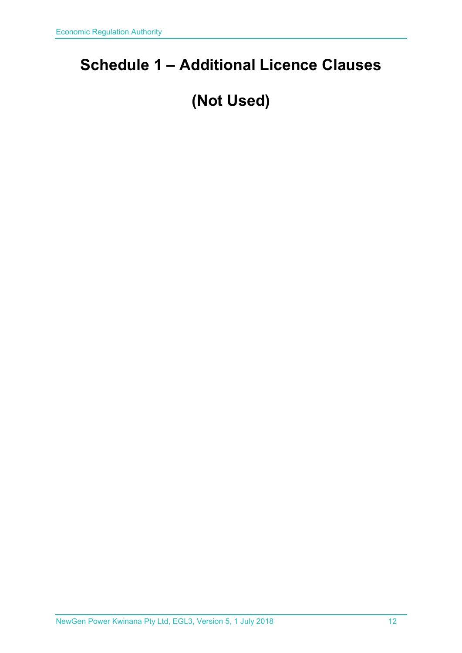## <span id="page-11-0"></span>**Schedule 1 – Additional Licence Clauses**

# **(Not Used)**

NewGen Power Kwinana Pty Ltd, EGL3, Version 5, 1 July 2018 12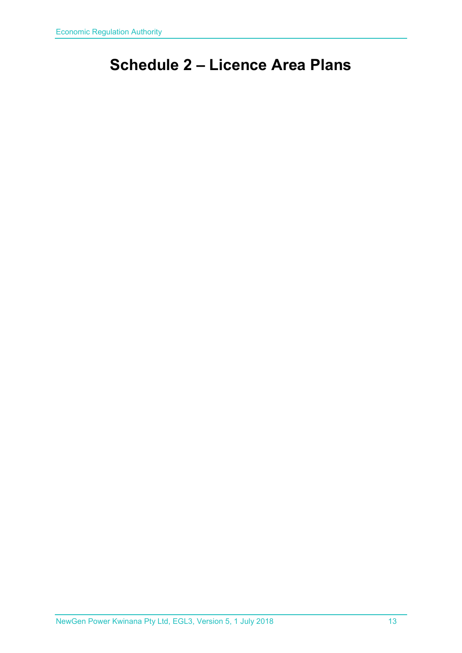## <span id="page-12-0"></span>**Schedule 2 – Licence Area Plans**